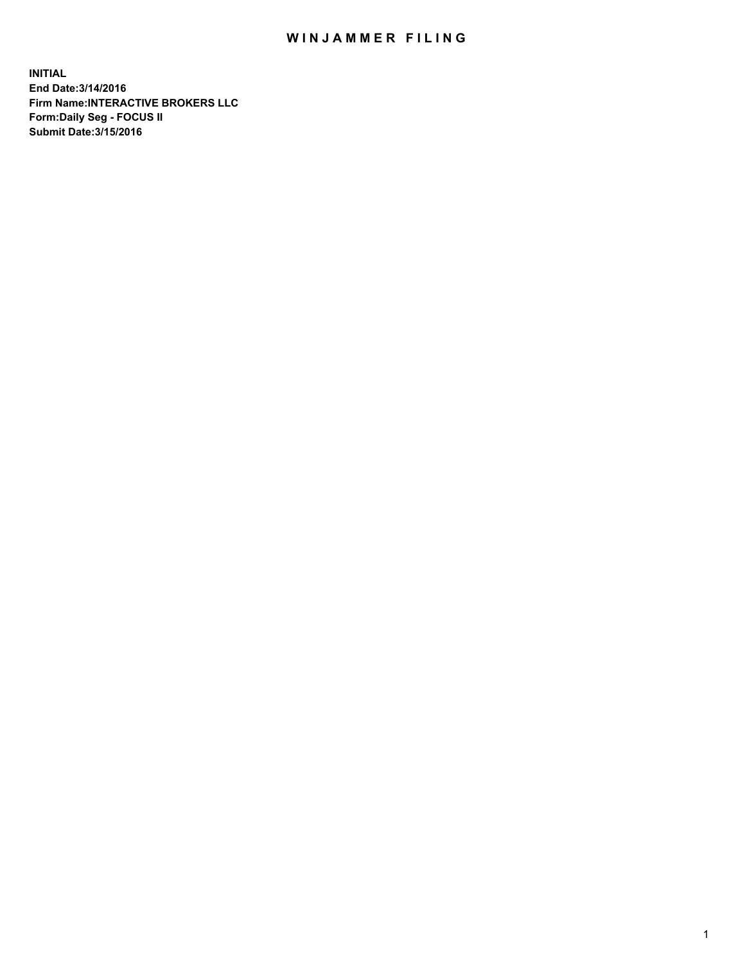## WIN JAMMER FILING

**INITIAL End Date:3/14/2016 Firm Name:INTERACTIVE BROKERS LLC Form:Daily Seg - FOCUS II Submit Date:3/15/2016**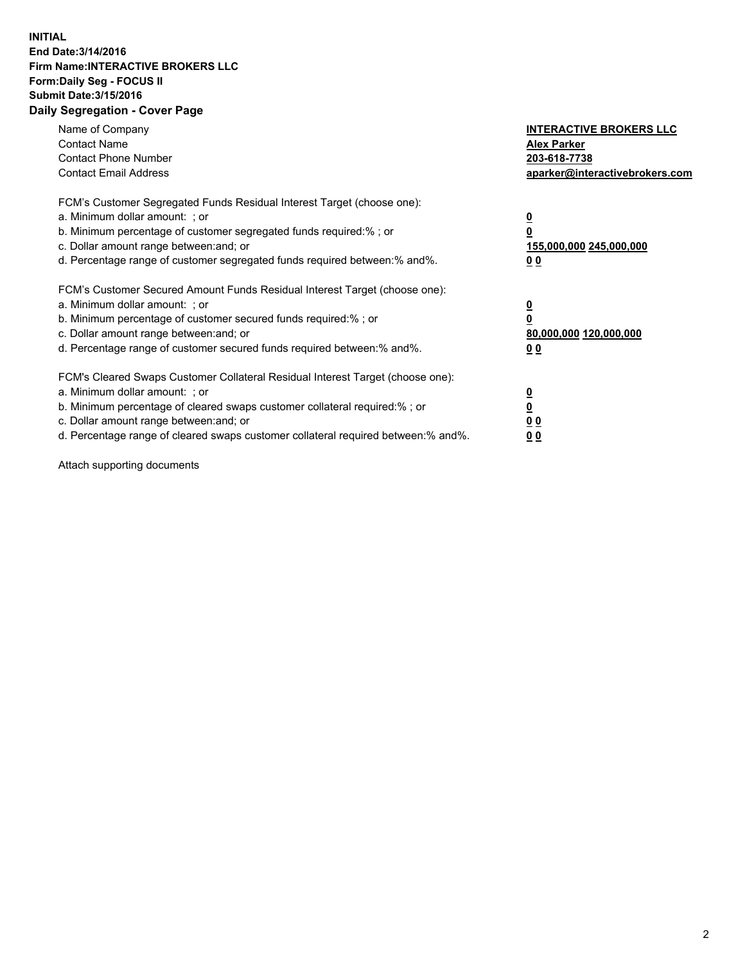## **INITIAL End Date:3/14/2016 Firm Name:INTERACTIVE BROKERS LLC Form:Daily Seg - FOCUS II Submit Date:3/15/2016 Daily Segregation - Cover Page**

| Name of Company<br><b>Contact Name</b><br><b>Contact Phone Number</b><br><b>Contact Email Address</b>                                                                                                                                                                                                                          | <b>INTERACTIVE BROKERS LLC</b><br><b>Alex Parker</b><br>203-618-7738<br>aparker@interactivebrokers.com |
|--------------------------------------------------------------------------------------------------------------------------------------------------------------------------------------------------------------------------------------------------------------------------------------------------------------------------------|--------------------------------------------------------------------------------------------------------|
| FCM's Customer Segregated Funds Residual Interest Target (choose one):<br>a. Minimum dollar amount: ; or<br>b. Minimum percentage of customer segregated funds required:% ; or<br>c. Dollar amount range between: and; or<br>d. Percentage range of customer segregated funds required between:% and%.                         | <u>0</u><br>155,000,000 245,000,000<br><u>00</u>                                                       |
| FCM's Customer Secured Amount Funds Residual Interest Target (choose one):<br>a. Minimum dollar amount: ; or<br>b. Minimum percentage of customer secured funds required:% ; or<br>c. Dollar amount range between: and; or<br>d. Percentage range of customer secured funds required between:% and%.                           | <u>0</u><br>80,000,000 120,000,000<br>0 <sub>0</sub>                                                   |
| FCM's Cleared Swaps Customer Collateral Residual Interest Target (choose one):<br>a. Minimum dollar amount: ; or<br>b. Minimum percentage of cleared swaps customer collateral required:% ; or<br>c. Dollar amount range between: and; or<br>d. Percentage range of cleared swaps customer collateral required between:% and%. | <u>0</u><br>0 <sub>0</sub><br>0 <sub>0</sub>                                                           |

Attach supporting documents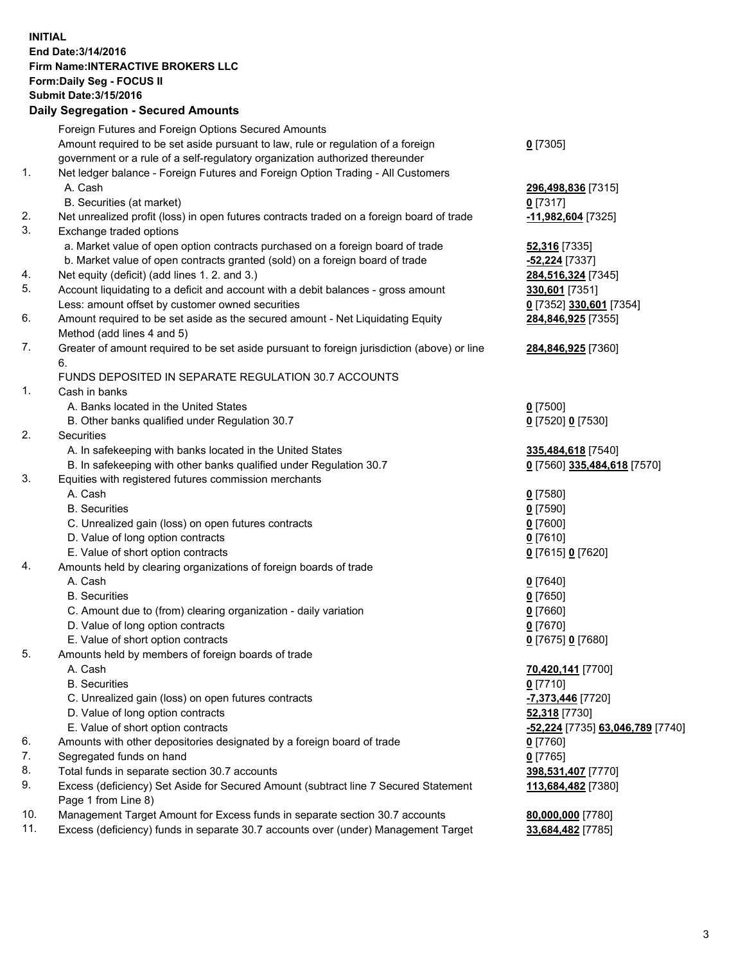## **INITIAL End Date:3/14/2016 Firm Name:INTERACTIVE BROKERS LLC Form:Daily Seg - FOCUS II Submit Date:3/15/2016 Daily Segregation - Secured Amounts**

|     | Daily Jegregation - Jeculed Aniounts                                                                       |                                  |
|-----|------------------------------------------------------------------------------------------------------------|----------------------------------|
|     | Foreign Futures and Foreign Options Secured Amounts                                                        |                                  |
|     | Amount required to be set aside pursuant to law, rule or regulation of a foreign                           | $0$ [7305]                       |
|     | government or a rule of a self-regulatory organization authorized thereunder                               |                                  |
| 1.  | Net ledger balance - Foreign Futures and Foreign Option Trading - All Customers                            |                                  |
|     | A. Cash                                                                                                    | 296,498,836 [7315]               |
|     | B. Securities (at market)                                                                                  | 0 [7317]                         |
| 2.  | Net unrealized profit (loss) in open futures contracts traded on a foreign board of trade                  | 11,982,604 [7325]                |
| 3.  | Exchange traded options                                                                                    |                                  |
|     | a. Market value of open option contracts purchased on a foreign board of trade                             | <b>52,316</b> [7335]             |
|     | b. Market value of open contracts granted (sold) on a foreign board of trade                               | -52,224 [7337]                   |
| 4.  | Net equity (deficit) (add lines 1.2. and 3.)                                                               | 284,516,324 [7345]               |
| 5.  | Account liquidating to a deficit and account with a debit balances - gross amount                          | 330,601 [7351]                   |
|     | Less: amount offset by customer owned securities                                                           | 0 [7352] 330,601 [7354]          |
| 6.  | Amount required to be set aside as the secured amount - Net Liquidating Equity                             | 284,846,925 [7355]               |
|     | Method (add lines 4 and 5)                                                                                 |                                  |
| 7.  | Greater of amount required to be set aside pursuant to foreign jurisdiction (above) or line                | 284,846,925 [7360]               |
|     | 6.                                                                                                         |                                  |
|     | FUNDS DEPOSITED IN SEPARATE REGULATION 30.7 ACCOUNTS                                                       |                                  |
| 1.  | Cash in banks                                                                                              |                                  |
|     | A. Banks located in the United States                                                                      | $0$ [7500]                       |
|     | B. Other banks qualified under Regulation 30.7                                                             | 0 [7520] 0 [7530]                |
| 2.  | Securities                                                                                                 |                                  |
|     | A. In safekeeping with banks located in the United States                                                  | 335,484,618 [7540]               |
|     | B. In safekeeping with other banks qualified under Regulation 30.7                                         | 0 [7560] 335,484,618 [7570]      |
| 3.  | Equities with registered futures commission merchants                                                      |                                  |
|     | A. Cash                                                                                                    | $0$ [7580]                       |
|     | <b>B.</b> Securities                                                                                       | $0$ [7590]                       |
|     | C. Unrealized gain (loss) on open futures contracts                                                        | $0$ [7600]                       |
|     | D. Value of long option contracts                                                                          | $0$ [7610]                       |
|     | E. Value of short option contracts                                                                         | 0 [7615] 0 [7620]                |
| 4.  | Amounts held by clearing organizations of foreign boards of trade                                          |                                  |
|     | A. Cash                                                                                                    | $0$ [7640]                       |
|     | <b>B.</b> Securities                                                                                       | $0$ [7650]                       |
|     | C. Amount due to (from) clearing organization - daily variation                                            | $0$ [7660]                       |
|     | D. Value of long option contracts                                                                          | $0$ [7670]                       |
|     | E. Value of short option contracts                                                                         | 0 [7675] 0 [7680]                |
| 5.  | Amounts held by members of foreign boards of trade                                                         |                                  |
|     | A. Cash                                                                                                    | 70,420,141 [7700]                |
|     | <b>B.</b> Securities                                                                                       | $0$ [7710]                       |
|     | C. Unrealized gain (loss) on open futures contracts                                                        | $-7,373,446$ [7720]              |
|     | D. Value of long option contracts                                                                          | 52,318 [7730]                    |
|     | E. Value of short option contracts                                                                         | -52,224 [7735] 63,046,789 [7740] |
| 6.  | Amounts with other depositories designated by a foreign board of trade                                     | 0 [7760]                         |
| 7.  | Segregated funds on hand                                                                                   | $0$ [7765]                       |
| 8.  | Total funds in separate section 30.7 accounts                                                              | 398,531,407 [7770]               |
| 9.  | Excess (deficiency) Set Aside for Secured Amount (subtract line 7 Secured Statement<br>Page 1 from Line 8) | 113,684,482 [7380]               |
| 10. | Management Target Amount for Excess funds in separate section 30.7 accounts                                | 80,000,000 [7780]                |
| 11. | Excess (deficiency) funds in separate 30.7 accounts over (under) Management Target                         | 33,684,482 [7785]                |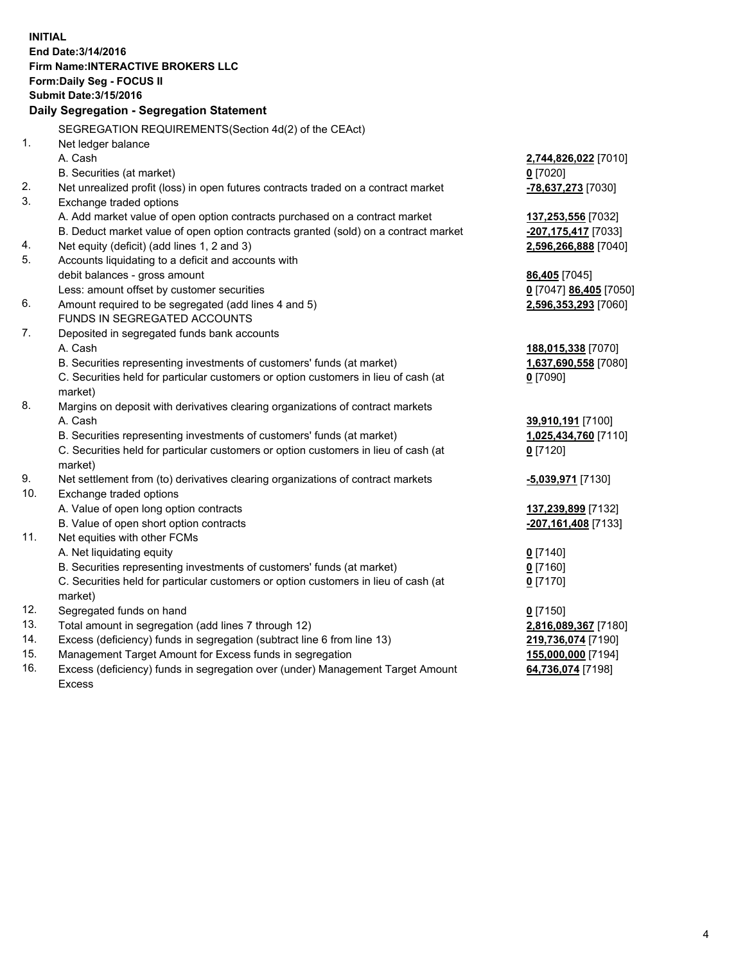**INITIAL End Date:3/14/2016 Firm Name:INTERACTIVE BROKERS LLC Form:Daily Seg - FOCUS II Submit Date:3/15/2016 Daily Segregation - Segregation Statement** SEGREGATION REQUIREMENTS(Section 4d(2) of the CEAct) 1. Net ledger balance A. Cash **2,744,826,022** [7010] B. Securities (at market) **0** [7020] 2. Net unrealized profit (loss) in open futures contracts traded on a contract market **-78,637,273** [7030] 3. Exchange traded options A. Add market value of open option contracts purchased on a contract market **137,253,556** [7032] B. Deduct market value of open option contracts granted (sold) on a contract market **-207,175,417** [7033] 4. Net equity (deficit) (add lines 1, 2 and 3) **2,596,266,888** [7040] 5. Accounts liquidating to a deficit and accounts with debit balances - gross amount **86,405** [7045] Less: amount offset by customer securities **0** [7047] **86,405** [7050] 6. Amount required to be segregated (add lines 4 and 5) **2,596,353,293** [7060] FUNDS IN SEGREGATED ACCOUNTS 7. Deposited in segregated funds bank accounts A. Cash **188,015,338** [7070] B. Securities representing investments of customers' funds (at market) **1,637,690,558** [7080] C. Securities held for particular customers or option customers in lieu of cash (at market) **0** [7090] 8. Margins on deposit with derivatives clearing organizations of contract markets A. Cash **39,910,191** [7100] B. Securities representing investments of customers' funds (at market) **1,025,434,760** [7110] C. Securities held for particular customers or option customers in lieu of cash (at market) **0** [7120] 9. Net settlement from (to) derivatives clearing organizations of contract markets **-5,039,971** [7130] 10. Exchange traded options A. Value of open long option contracts **137,239,899** [7132] B. Value of open short option contracts **-207,161,408** [7133] 11. Net equities with other FCMs A. Net liquidating equity **0** [7140] B. Securities representing investments of customers' funds (at market) **0** [7160] C. Securities held for particular customers or option customers in lieu of cash (at market) **0** [7170] 12. Segregated funds on hand **0** [7150] 13. Total amount in segregation (add lines 7 through 12) **2,816,089,367** [7180] 14. Excess (deficiency) funds in segregation (subtract line 6 from line 13) **219,736,074** [7190] 15. Management Target Amount for Excess funds in segregation **155,000,000** [7194] **64,736,074** [7198]

16. Excess (deficiency) funds in segregation over (under) Management Target Amount Excess